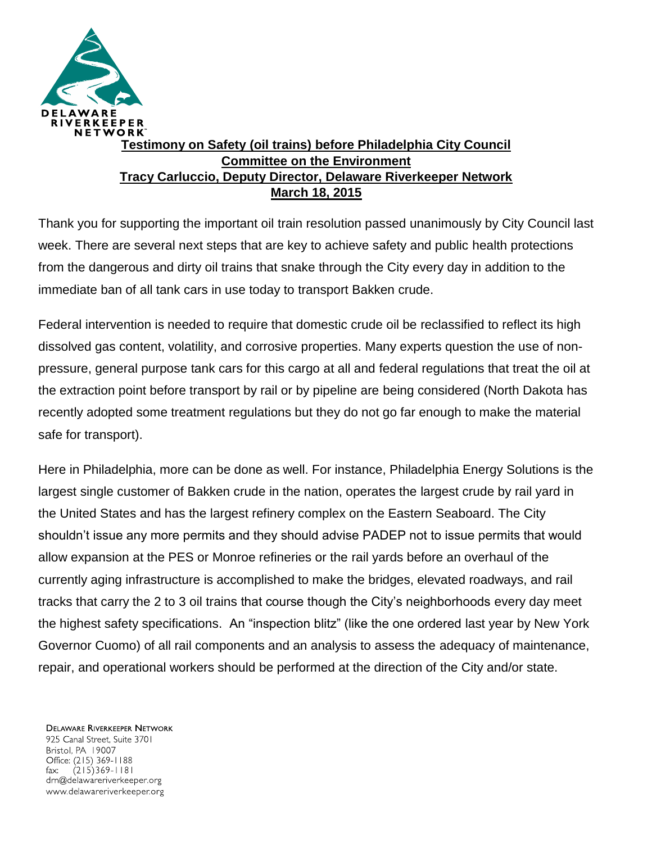

## **Testimony on Safety (oil trains) before Philadelphia City Council Committee on the Environment Tracy Carluccio, Deputy Director, Delaware Riverkeeper Network March 18, 2015**

Thank you for supporting the important oil train resolution passed unanimously by City Council last week. There are several next steps that are key to achieve safety and public health protections from the dangerous and dirty oil trains that snake through the City every day in addition to the immediate ban of all tank cars in use today to transport Bakken crude.

Federal intervention is needed to require that domestic crude oil be reclassified to reflect its high dissolved gas content, volatility, and corrosive properties. Many experts question the use of nonpressure, general purpose tank cars for this cargo at all and federal regulations that treat the oil at the extraction point before transport by rail or by pipeline are being considered (North Dakota has recently adopted some treatment regulations but they do not go far enough to make the material safe for transport).

Here in Philadelphia, more can be done as well. For instance, Philadelphia Energy Solutions is the largest single customer of Bakken crude in the nation, operates the largest crude by rail yard in the United States and has the largest refinery complex on the Eastern Seaboard. The City shouldn't issue any more permits and they should advise PADEP not to issue permits that would allow expansion at the PES or Monroe refineries or the rail yards before an overhaul of the currently aging infrastructure is accomplished to make the bridges, elevated roadways, and rail tracks that carry the 2 to 3 oil trains that course though the City's neighborhoods every day meet the highest safety specifications. An "inspection blitz" (like the one ordered last year by New York Governor Cuomo) of all rail components and an analysis to assess the adequacy of maintenance, repair, and operational workers should be performed at the direction of the City and/or state.

**DELAWARE RIVERKEEPER NETWORK** 925 Canal Street, Suite 3701 Bristol, PA 19007 Office: (215) 369-1188  $(215)369 - 1181$ fax: drn@delawareriverkeeper.org www.delawareriverkeeper.org